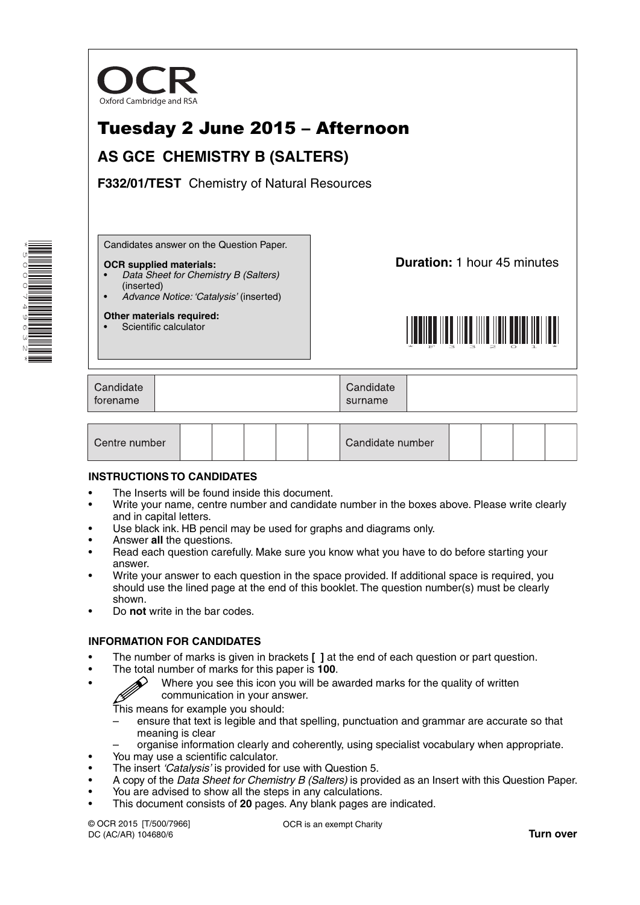

# Tuesday 2 June 2015 – Afternoon

# **AS GCE CHEMISTRY B (SALTERS)**

**F332/01/TEST** Chemistry of Natural Resources

Candidates answer on the Question Paper.

#### **OCR supplied materials:**

- *Data Sheet for Chemistry B (Salters)* (inserted)
- *Advance Notice: 'Catalysis'* (inserted)

#### **Other materials required:**

Scientific calculator

**Duration:** 1 hour 45 minutes



| Candidate<br>forename | Candidate<br>surname |  |
|-----------------------|----------------------|--|
|-----------------------|----------------------|--|

| Centre number |  |  |  |  |  | Candidate number |  |  |  |  |  |
|---------------|--|--|--|--|--|------------------|--|--|--|--|--|
|---------------|--|--|--|--|--|------------------|--|--|--|--|--|

#### **INSTRUCTIONS TO CANDIDATES**

- The Inserts will be found inside this document.
- Write your name, centre number and candidate number in the boxes above. Please write clearly and in capital letters.
- Use black ink. HB pencil may be used for graphs and diagrams only.
- Answer **all** the questions.
- Read each question carefully. Make sure you know what you have to do before starting your answer.
- Write your answer to each question in the space provided. If additional space is required, you should use the lined page at the end of this booklet. The question number(s) must be clearly shown.
- Do **not** write in the bar codes.

#### **INFORMATION FOR CANDIDATES**

- The number of marks is given in brackets **[ ]** at the end of each question or part question.
- The total number of marks for this paper is **100**.
	- Where you see this icon you will be awarded marks for the quality of written communication in your answer.

This means for example you should:

- ensure that text is legible and that spelling, punctuation and grammar are accurate so that meaning is clear
- organise information clearly and coherently, using specialist vocabulary when appropriate.
- You may use a scientific calculator.
- The insert *'Catalysis'* is provided for use with Question 5.
- A copy of the *Data Sheet for Chemistry B (Salters)* is provided as an Insert with this Question Paper.
- You are advised to show all the steps in any calculations.
- This document consists of **20** pages. Any blank pages are indicated.

© OCR 2015 [T/500/7966] DC (AC/AR) 104680/6

OCR is an exempt Charity

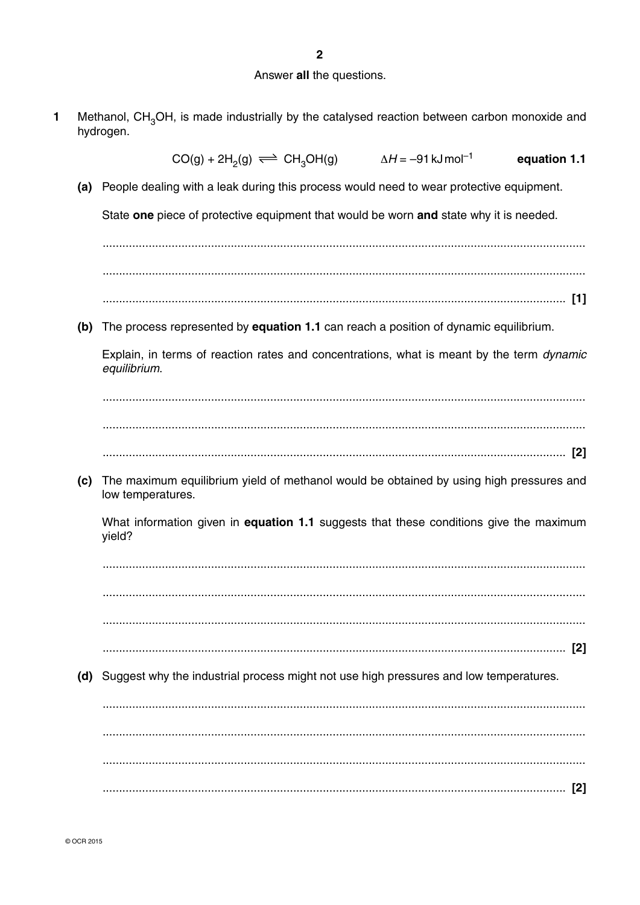# $\overline{2}$ Answer all the questions.

- Methanol, CH<sub>3</sub>OH, is made industrially by the catalysed reaction between carbon monoxide and  $\blacksquare$ hydrogen.
	- $CO(g) + 2H_2(g) \rightleftharpoons CH_3OH(g)$  $\Delta H = -91$  kJ mol<sup>-1</sup> equation 1.1 (a) People dealing with a leak during this process would need to wear protective equipment. State one piece of protective equipment that would be worn and state why it is needed. (b) The process represented by equation 1.1 can reach a position of dynamic equilibrium. Explain, in terms of reaction rates and concentrations, what is meant by the term dynamic equilibrium. (c) The maximum equilibrium yield of methanol would be obtained by using high pressures and low temperatures. What information given in equation 1.1 suggests that these conditions give the maximum vield? (d) Suggest why the industrial process might not use high pressures and low temperatures.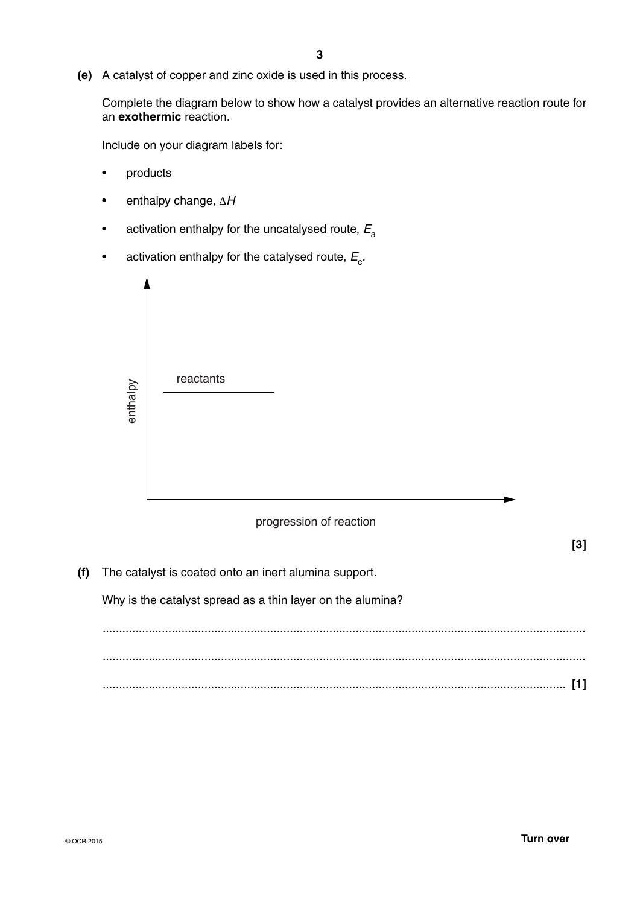**(e)** A catalyst of copper and zinc oxide is used in this process.

Complete the diagram below to show how a catalyst provides an alternative reaction route for an **exothermic** reaction.

Include on your diagram labels for:

- products
- enthalpy change, Δ*H*
- activation enthalpy for the uncatalysed route,  $E_a$
- activation enthalpy for the catalysed route,  $E_c$ .

|--|

#### progression of reaction

**[3]**

 **(f)** The catalyst is coated onto an inert alumina support.

Why is the catalyst spread as a thin layer on the alumina?

 ................................................................................................................................................... ................................................................................................................................................... ............................................................................................................................................. **[1]**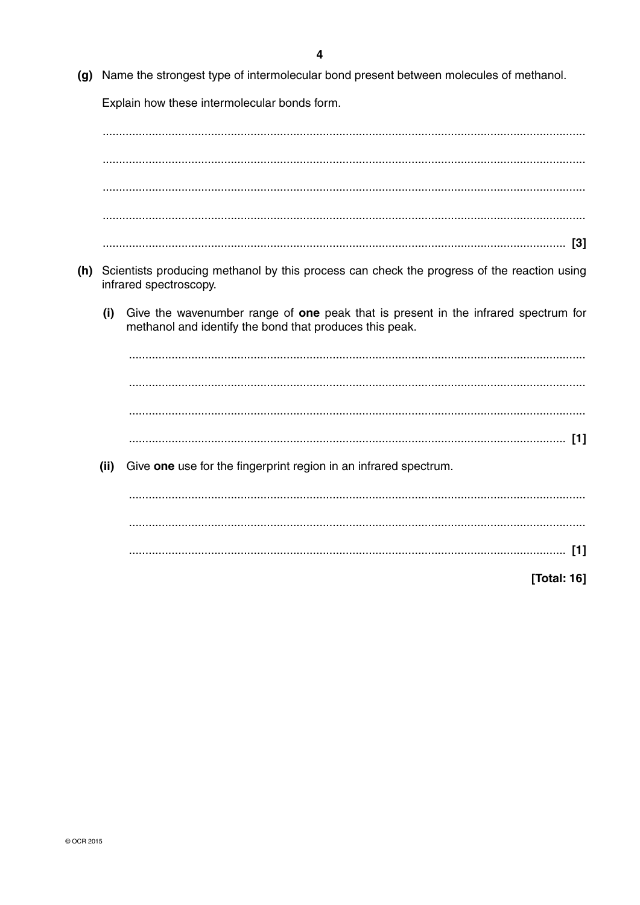(g) Name the strongest type of intermolecular bond present between molecules of methanol.

Explain how these intermolecular bonds form.

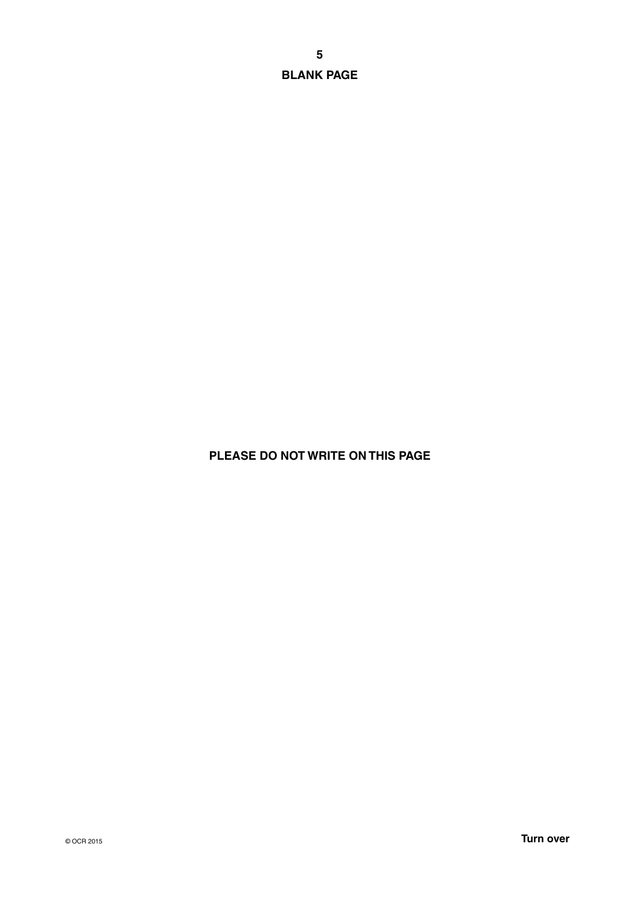**BLANK PAGE**

# **PLEASE DO NOT WRITE ON THIS PAGE**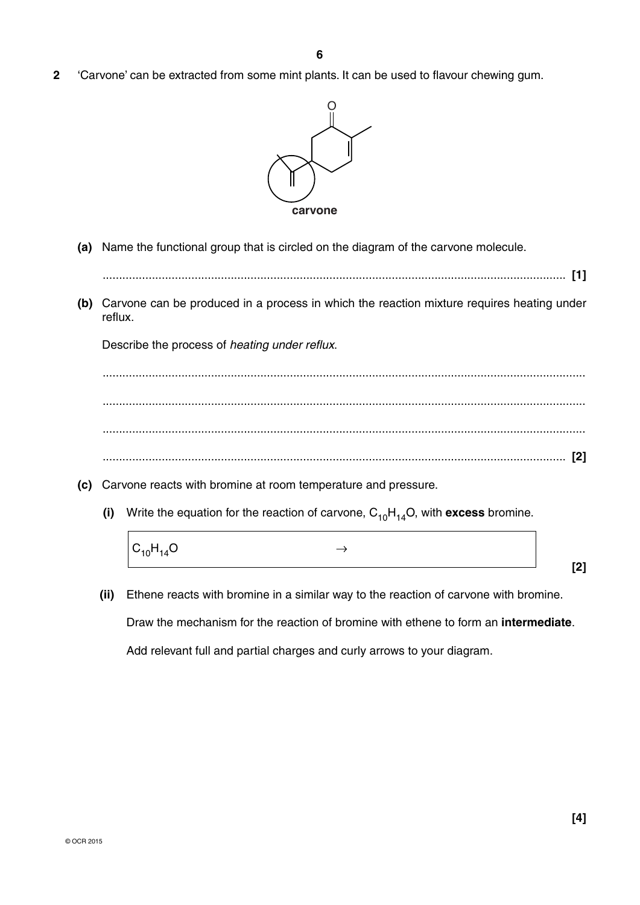**2** 'Carvone' can be extracted from some mint plants. It can be used to flavour chewing gum.



 **(a)** Name the functional group that is circled on the diagram of the carvone molecule.

............................................................................................................................................. **[1]**

 **(b)** Carvone can be produced in a process in which the reaction mixture requires heating under reflux.

Describe the process of *heating under reflux*.

 ................................................................................................................................................... ................................................................................................................................................... ................................................................................................................................................... ............................................................................................................................................. **[2]**

- **(c)** Carvone reacts with bromine at room temperature and pressure.
	- **(i)** Write the equation for the reaction of carvone,  $C_{10}H_{14}O$ , with **excess** bromine.



 **(ii)** Ethene reacts with bromine in a similar way to the reaction of carvone with bromine. Draw the mechanism for the reaction of bromine with ethene to form an **intermediate**. Add relevant full and partial charges and curly arrows to your diagram.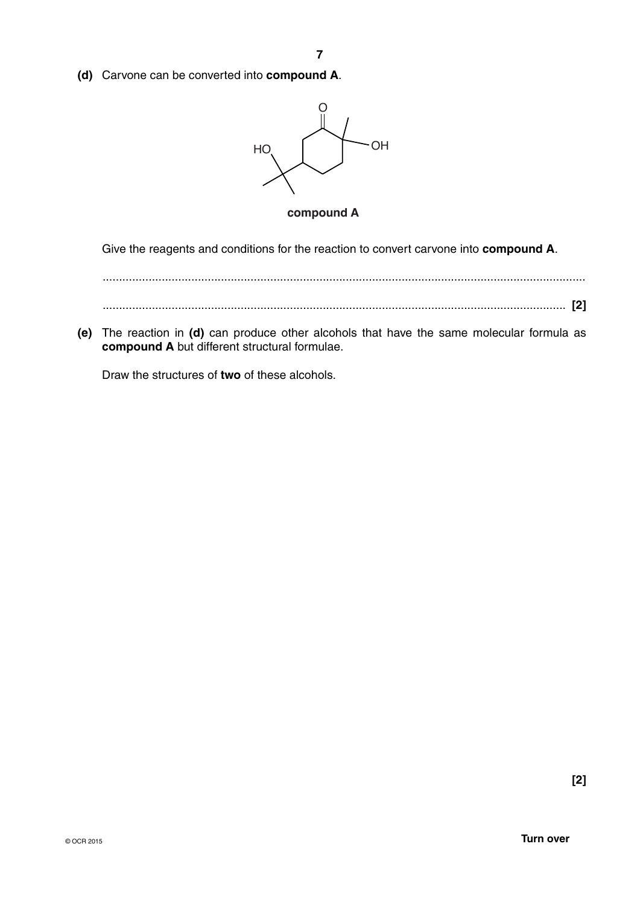**(d)** Carvone can be converted into **compound A**.



### **compound A**

Give the reagents and conditions for the reaction to convert carvone into **compound A**.

 ................................................................................................................................................... ............................................................................................................................................. **[2]**

 **(e)** The reaction in **(d)** can produce other alcohols that have the same molecular formula as **compound A** but different structural formulae.

Draw the structures of **two** of these alcohols.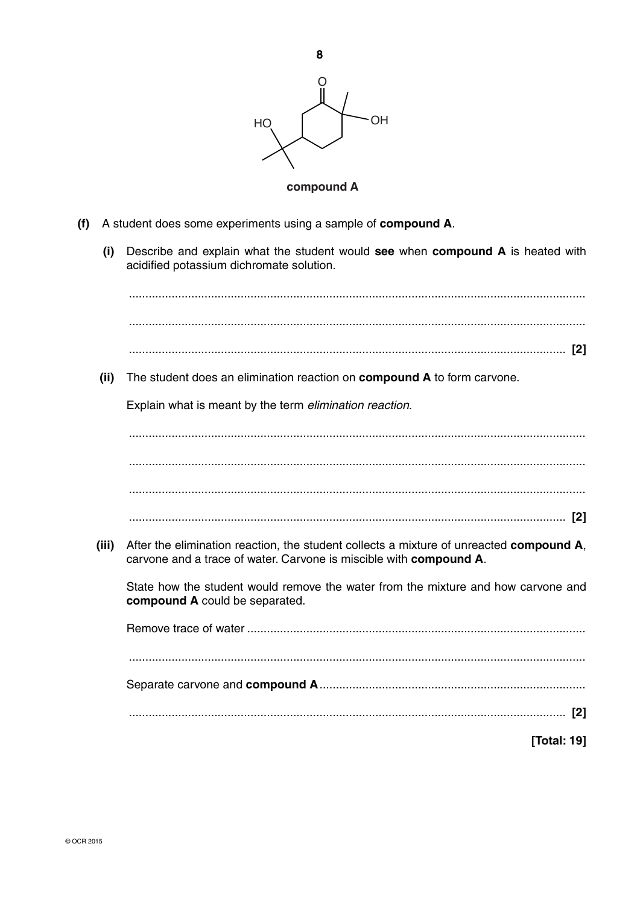

## compound A

- (f) A student does some experiments using a sample of compound A.
	- (i) Describe and explain what the student would see when compound A is heated with acidified potassium dichromate solution.

|       | $\lceil 2 \rceil$                                                                                                                                             |
|-------|---------------------------------------------------------------------------------------------------------------------------------------------------------------|
| (ii)  | The student does an elimination reaction on <b>compound A</b> to form carvone.                                                                                |
|       | Explain what is meant by the term elimination reaction.                                                                                                       |
|       |                                                                                                                                                               |
|       |                                                                                                                                                               |
|       |                                                                                                                                                               |
|       | $\lceil 2 \rceil$                                                                                                                                             |
| (iii) | After the elimination reaction, the student collects a mixture of unreacted compound A,<br>carvone and a trace of water. Carvone is miscible with compound A. |
|       | State how the student would remove the water from the mixture and how carvone and<br>compound A could be separated.                                           |
|       |                                                                                                                                                               |
|       |                                                                                                                                                               |
|       |                                                                                                                                                               |
|       | $\lceil 2 \rceil$                                                                                                                                             |
|       | [Total: 19]                                                                                                                                                   |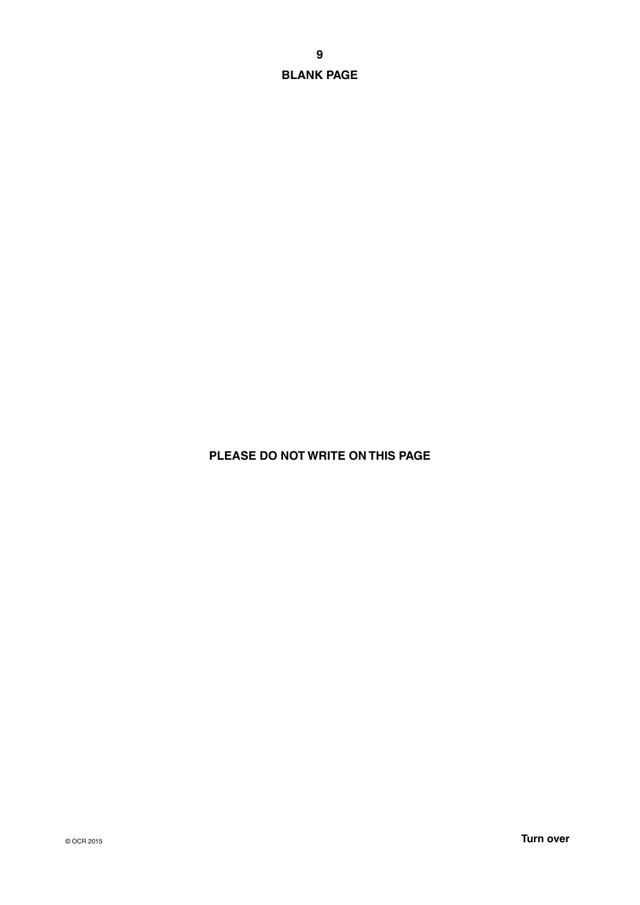**9 BLANK PAGE**

# **PLEASE DO NOT WRITE ON THIS PAGE**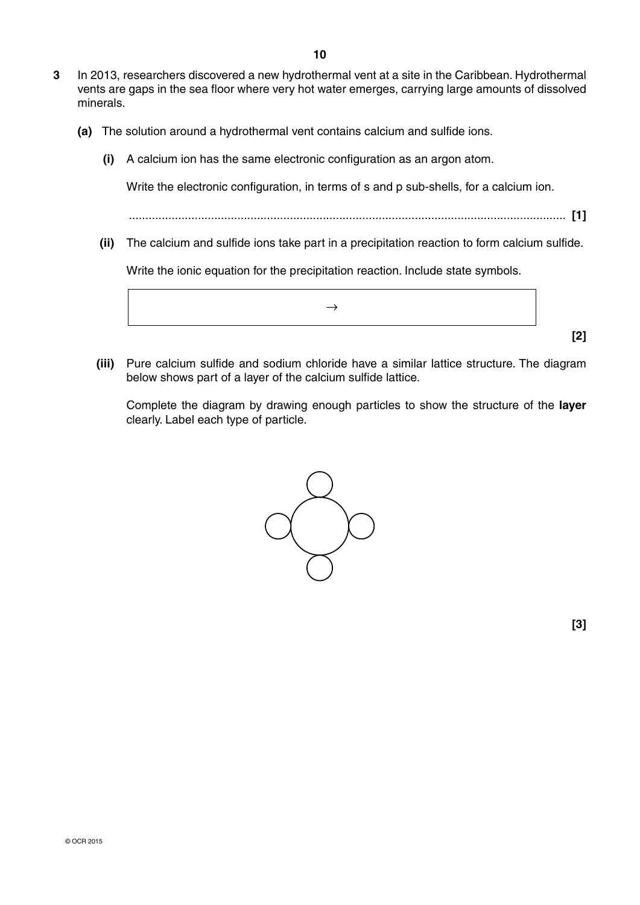- **3** In 2013, researchers discovered a new hydrothermal vent at a site in the Caribbean. Hydrothermal vents are gaps in the sea floor where very hot water emerges, carrying large amounts of dissolved minerals.
	- **(a)** The solution around a hydrothermal vent contains calcium and sulfide ions.
		- **(i)** A calcium ion has the same electronic configuration as an argon atom.

Write the electronic configuration, in terms of s and p sub-shells, for a calcium ion.

..................................................................................................................................... **[1]**

 **(ii)** The calcium and sulfide ions take part in a precipitation reaction to form calcium sulfide.

Write the ionic equation for the precipitation reaction. Include state symbols.



 **(iii)** Pure calcium sulfide and sodium chloride have a similar lattice structure. The diagram below shows part of a layer of the calcium sulfide lattice.

Complete the diagram by drawing enough particles to show the structure of the **layer** clearly. Label each type of particle.



**[3]**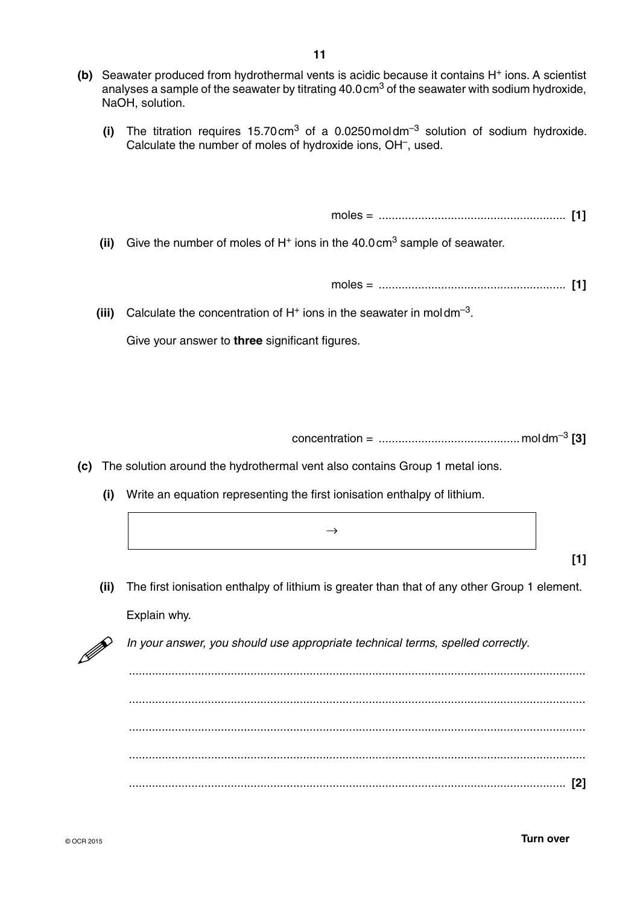- **(b)** Seawater produced from hydrothermal vents is acidic because it contains H+ ions. A scientist analyses a sample of the seawater by titrating  $40.0 \text{ cm}^3$  of the seawater with sodium hydroxide, NaOH, solution.
	- **(i)** The titration requires 15.70 cm3 of a 0.0250 mol dm–3 solution of sodium hydroxide. Calculate the number of moles of hydroxide ions, OH–, used.

moles = ......................................................... **[1]**

**(ii)** Give the number of moles of  $H^+$  ions in the 40.0 cm<sup>3</sup> sample of seawater.

moles = ......................................................... **[1]**

**(iii)** Calculate the concentration of  $H^+$  ions in the seawater in moldm<sup>-3</sup>.

Give your answer to **three** significant figures.

concentration = ...........................................mol dm–3 **[3]**

 **(c)** The solution around the hydrothermal vent also contains Group 1 metal ions.

- **(i)** Write an equation representing the first ionisation enthalpy of lithium.
- **(ii)** The first ionisation enthalpy of lithium is greater than that of any other Group 1 element. Explain why.

 $\rightarrow$ 

...........................................................................................................................................

...........................................................................................................................................

..................................................................................................................................... **[2]**

*In your answer, you should use appropriate technical terms, spelled correctly*.

 **[1]**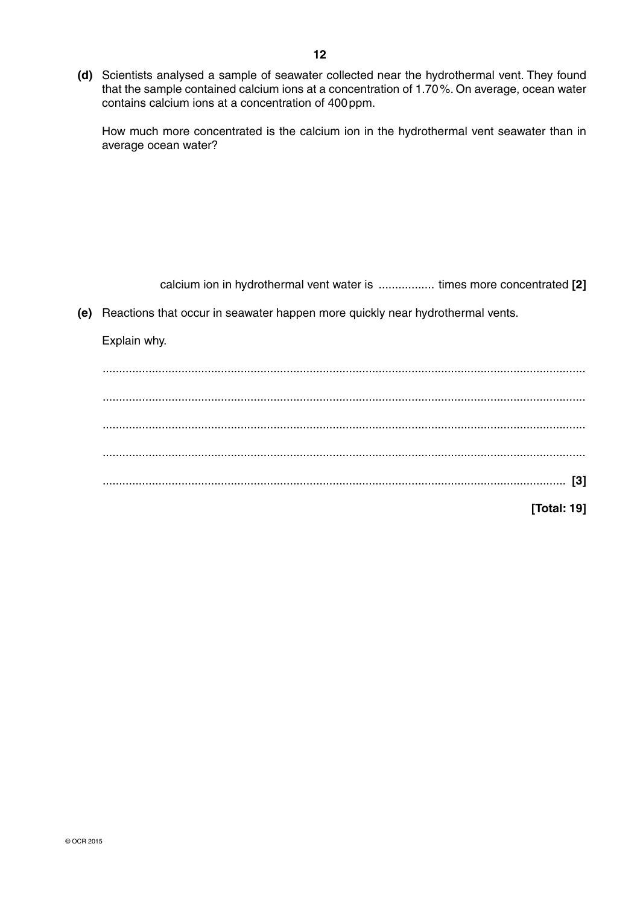**(d)** Scientists analysed a sample of seawater collected near the hydrothermal vent. They found that the sample contained calcium ions at a concentration of 1.70 %. On average, ocean water contains calcium ions at a concentration of 400 ppm.

How much more concentrated is the calcium ion in the hydrothermal vent seawater than in average ocean water?

calcium ion in hydrothermal vent water is ................. times more concentrated **[2]**

 **(e)** Reactions that occur in seawater happen more quickly near hydrothermal vents.

Explain why.

 ................................................................................................................................................... ................................................................................................................................................... ................................................................................................................................................... ................................................................................................................................................... ............................................................................................................................................. **[3] [Total: 19]**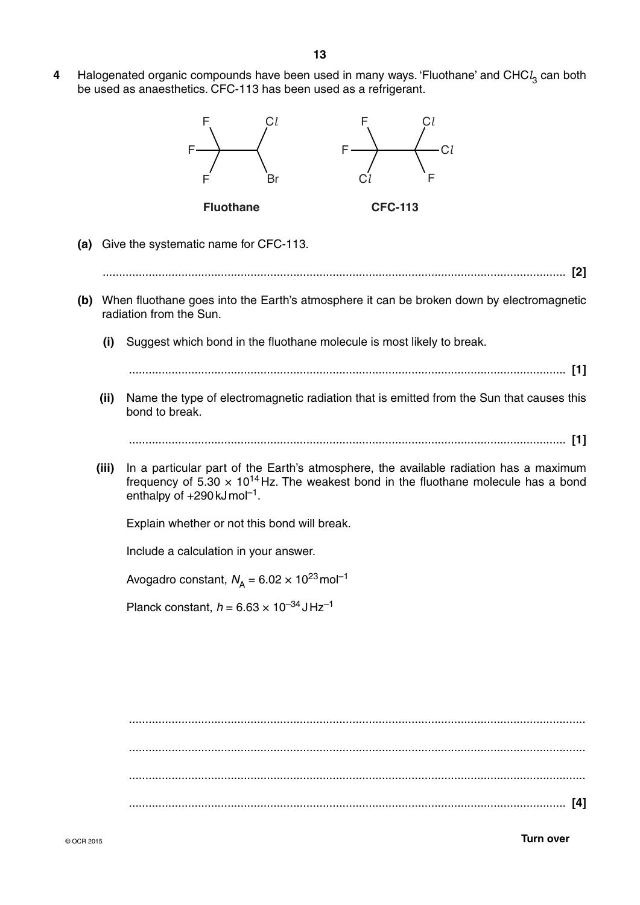**4** Halogenated organic compounds have been used in many ways. 'Fluothane' and CHC*l* 3 can both be used as anaesthetics. CFC-113 has been used as a refrigerant.



 **(a)** Give the systematic name for CFC-113.

............................................................................................................................................. **[2]**

- **(b)** When fluothane goes into the Earth's atmosphere it can be broken down by electromagnetic radiation from the Sun.
	- **(i)** Suggest which bond in the fluothane molecule is most likely to break.

..................................................................................................................................... **[1]**

 **(ii)** Name the type of electromagnetic radiation that is emitted from the Sun that causes this bond to break.

..................................................................................................................................... **[1]**

 **(iii)** In a particular part of the Earth's atmosphere, the available radiation has a maximum frequency of  $5.30 \times 10^{14}$  Hz. The weakest bond in the fluothane molecule has a bond enthalpy of  $+290$  kJ mol<sup>-1</sup>.

Explain whether or not this bond will break.

Include a calculation in your answer.

Avogadro constant,  $N_A = 6.02 \times 10^{23}$  mol<sup>-1</sup>

Planck constant,  $h = 6.63 \times 10^{-34}$  JHz<sup>-1</sup>

 ........................................................................................................................................... ........................................................................................................................................... ........................................................................................................................................... ..................................................................................................................................... **[4]**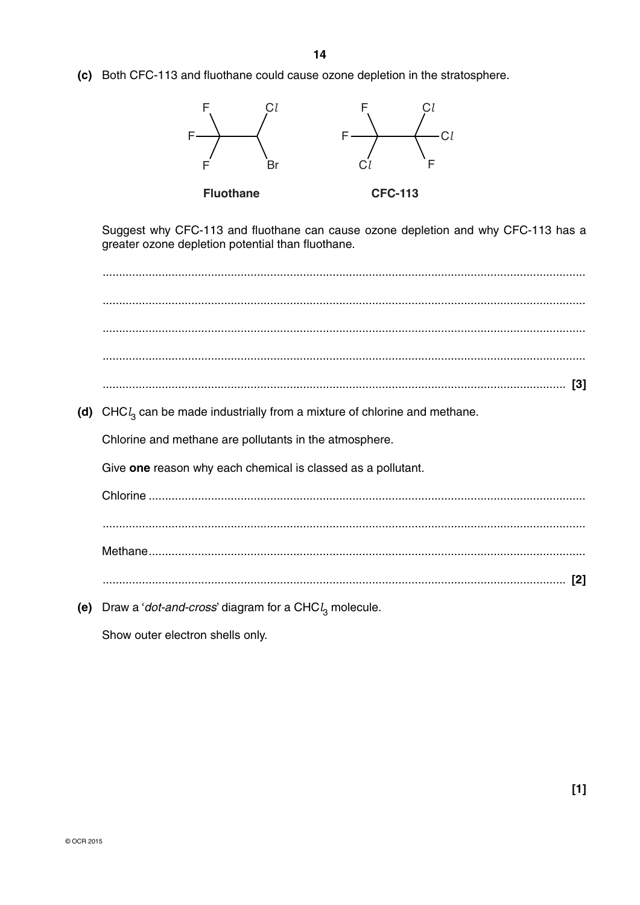(c) Both CFC-113 and fluothane could cause ozone depletion in the stratosphere.



Suggest why CFC-113 and fluothane can cause ozone depletion and why CFC-113 has a greater ozone depletion potential than fluothane.

(d) CHC $l_3$  can be made industrially from a mixture of chlorine and methane. Chlorine and methane are pollutants in the atmosphere. Give one reason why each chemical is classed as a pollutant. (e) Draw a '*dot-and-cross'* diagram for a CHC $l_3$  molecule.

Show outer electron shells only.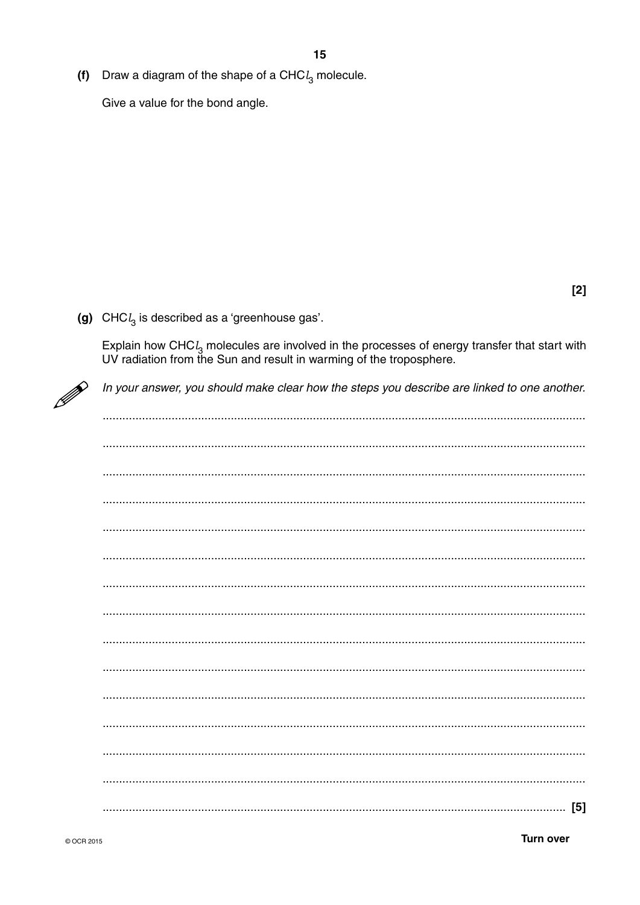(f) Draw a diagram of the shape of a CHC $l_3$  molecule.

Give a value for the bond angle.

 $[2]$ 

(g) CHC $l_3$  is described as a 'greenhouse gas'.

Explain how CHC $l_3$  molecules are involved in the processes of energy transfer that start with UV radiation from the Sun and result in warming of the troposphere.

In your answer, you should make clear how the steps you describe are linked to one another.

P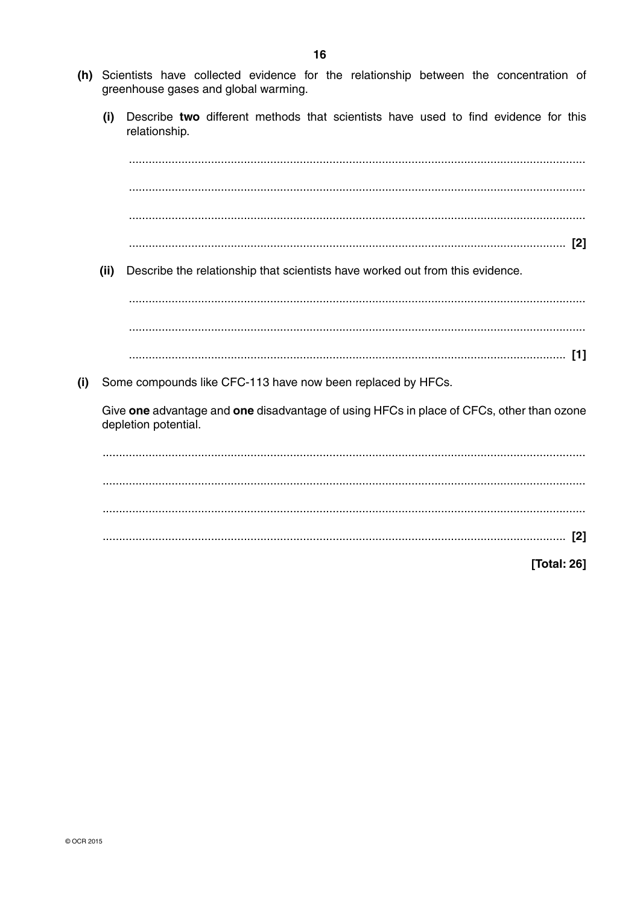- (h) Scientists have collected evidence for the relationship between the concentration of greenhouse gases and global warming.
	- $(i)$ Describe two different methods that scientists have used to find evidence for this relationship.

 $(ii)$ Describe the relationship that scientists have worked out from this evidence. Some compounds like CFC-113 have now been replaced by HFCs. Give one advantage and one disadvantage of using HFCs in place of CFCs, other than ozone depletion potential. 

[Total: 26]

 $(i)$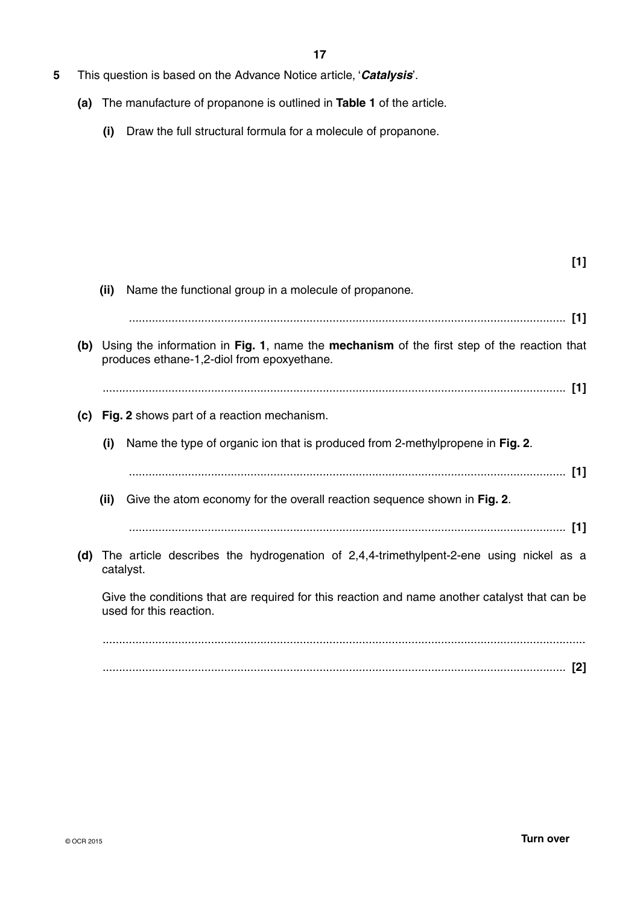- **5** This question is based on the Advance Notice article, '*Catalysis*'.
	- **(a)** The manufacture of propanone is outlined in **Table 1** of the article.
		- **(i)** Draw the full structural formula for a molecule of propanone.

## **[1]**

 **(ii)** Name the functional group in a molecule of propanone.

#### ..................................................................................................................................... **[1]**

 **(b)** Using the information in **Fig. 1**, name the **mechanism** of the first step of the reaction that produces ethane-1,2-diol from epoxyethane.

............................................................................................................................................. **[1]**

- **(c) Fig. 2** shows part of a reaction mechanism.
	- **(i)** Name the type of organic ion that is produced from 2-methylpropene in **Fig. 2**.
		- ..................................................................................................................................... **[1]**
	- **(ii)** Give the atom economy for the overall reaction sequence shown in **Fig. 2**.
	- ..................................................................................................................................... **[1]**
- **(d)** The article describes the hydrogenation of 2,4,4-trimethylpent-2-ene using nickel as a catalyst.

Give the conditions that are required for this reaction and name another catalyst that can be used for this reaction.

 ................................................................................................................................................... ............................................................................................................................................. **[2]**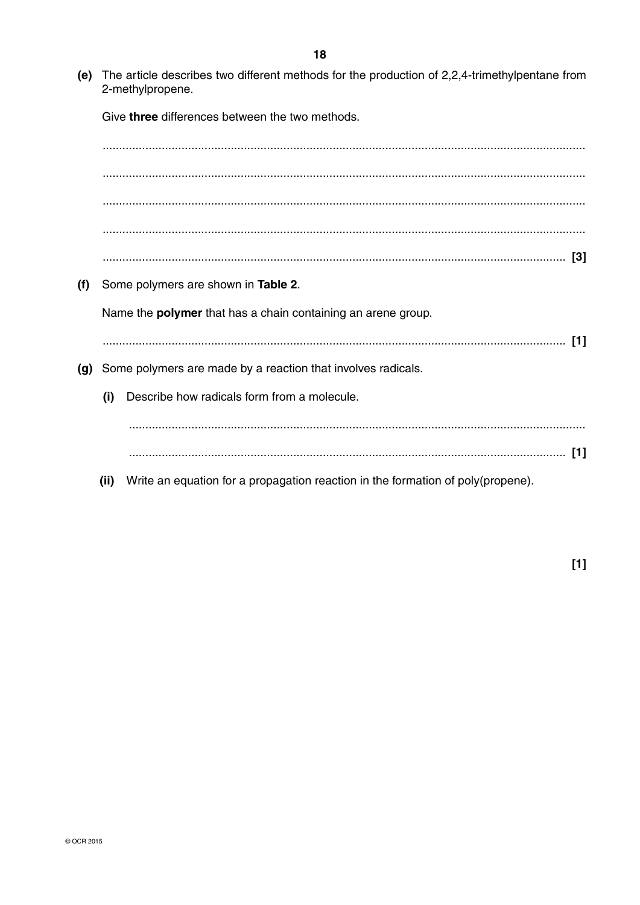(e) The article describes two different methods for the production of 2,2,4-trimethylpentane from 2-methylpropene.

Give three differences between the two methods.

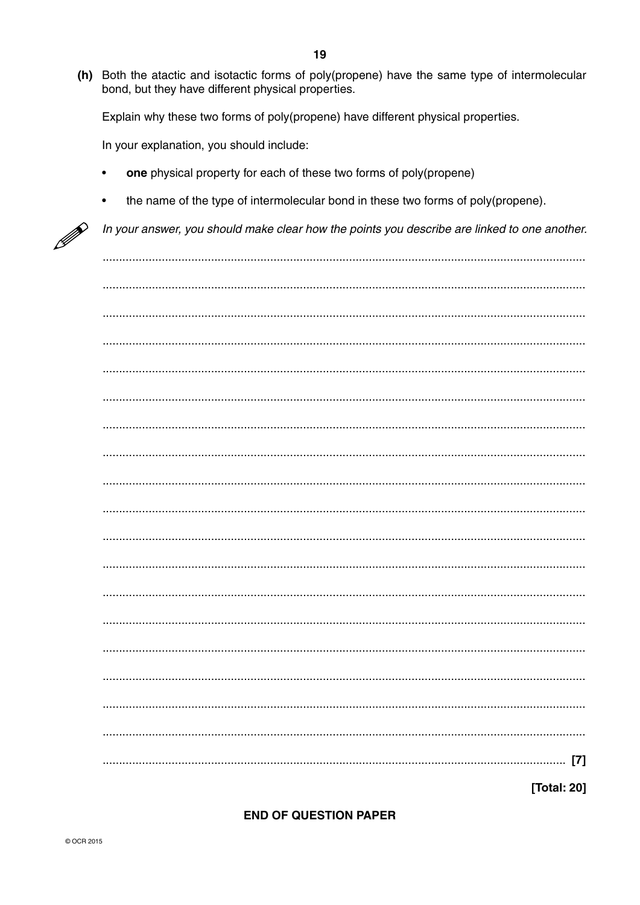(h) Both the atactic and isotactic forms of poly(propene) have the same type of intermolecular bond, but they have different physical properties.

Explain why these two forms of poly(propene) have different physical properties.

In your explanation, you should include:

- one physical property for each of these two forms of poly(propene)  $\bullet$
- the name of the type of intermolecular bond in these two forms of poly(propene).  $\bullet$

In your answer, you should make clear how the points you describe are linked to one another.

| $[7]$       |
|-------------|
| [Total: 20] |

#### **END OF QUESTION PAPER**

P